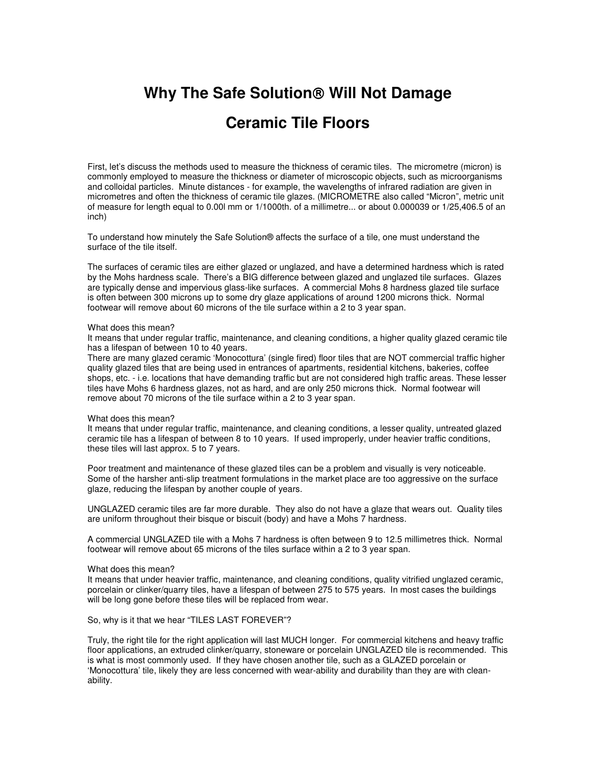# **Why The Safe Solution Will Not Damage Ceramic Tile Floors**

First, let's discuss the methods used to measure the thickness of ceramic tiles. The micrometre (micron) is commonly employed to measure the thickness or diameter of microscopic objects, such as microorganisms and colloidal particles. Minute distances - for example, the wavelengths of infrared radiation are given in micrometres and often the thickness of ceramic tile glazes. (MICROMETRE also called "Micron", metric unit of measure for length equal to 0.00l mm or 1/1000th. of a millimetre... or about 0.000039 or 1/25,406.5 of an inch)

To understand how minutely the Safe Solution® affects the surface of a tile, one must understand the surface of the tile itself.

The surfaces of ceramic tiles are either glazed or unglazed, and have a determined hardness which is rated by the Mohs hardness scale. There's a BIG difference between glazed and unglazed tile surfaces. Glazes are typically dense and impervious glass-like surfaces. A commercial Mohs 8 hardness glazed tile surface is often between 300 microns up to some dry glaze applications of around 1200 microns thick. Normal footwear will remove about 60 microns of the tile surface within a 2 to 3 year span.

#### What does this mean?

It means that under regular traffic, maintenance, and cleaning conditions, a higher quality glazed ceramic tile has a lifespan of between 10 to 40 years.

There are many glazed ceramic 'Monocottura' (single fired) floor tiles that are NOT commercial traffic higher quality glazed tiles that are being used in entrances of apartments, residential kitchens, bakeries, coffee shops, etc. - i.e. locations that have demanding traffic but are not considered high traffic areas. These lesser tiles have Mohs 6 hardness glazes, not as hard, and are only 250 microns thick. Normal footwear will remove about 70 microns of the tile surface within a 2 to 3 year span.

## What does this mean?

It means that under regular traffic, maintenance, and cleaning conditions, a lesser quality, untreated glazed ceramic tile has a lifespan of between 8 to 10 years. If used improperly, under heavier traffic conditions, these tiles will last approx. 5 to 7 years.

Poor treatment and maintenance of these glazed tiles can be a problem and visually is very noticeable. Some of the harsher anti-slip treatment formulations in the market place are too aggressive on the surface glaze, reducing the lifespan by another couple of years.

UNGLAZED ceramic tiles are far more durable. They also do not have a glaze that wears out. Quality tiles are uniform throughout their bisque or biscuit (body) and have a Mohs 7 hardness.

A commercial UNGLAZED tile with a Mohs 7 hardness is often between 9 to 12.5 millimetres thick. Normal footwear will remove about 65 microns of the tiles surface within a 2 to 3 year span.

## What does this mean?

It means that under heavier traffic, maintenance, and cleaning conditions, quality vitrified unglazed ceramic, porcelain or clinker/quarry tiles, have a lifespan of between 275 to 575 years. In most cases the buildings will be long gone before these tiles will be replaced from wear.

## So, why is it that we hear "TILES LAST FOREVER"?

Truly, the right tile for the right application will last MUCH longer. For commercial kitchens and heavy traffic floor applications, an extruded clinker/quarry, stoneware or porcelain UNGLAZED tile is recommended. This is what is most commonly used. If they have chosen another tile, such as a GLAZED porcelain or 'Monocottura' tile, likely they are less concerned with wear-ability and durability than they are with cleanability.